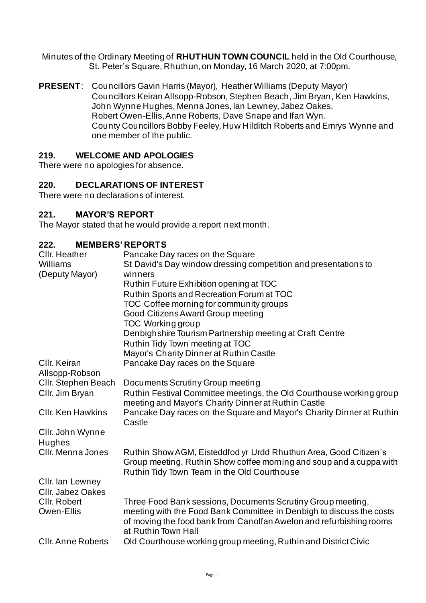Minutes of the Ordinary Meeting of **RHUTHUN TOWN COUNCIL** held in the Old Courthouse, St. Peter's Square, Rhuthun, on Monday, 16 March 2020, at 7:00pm.

**PRESENT**: Councillors Gavin Harris (Mayor), Heather Williams (Deputy Mayor) Councillors Keiran Allsopp-Robson, Stephen Beach, Jim Bryan, Ken Hawkins, John Wynne Hughes, Menna Jones, Ian Lewney, Jabez Oakes, Robert Owen-Ellis, Anne Roberts, Dave Snape and Ifan Wyn. County Councillors Bobby Feeley, Huw Hilditch Roberts and Emrys Wynne and one member of the public.

### **219. WELCOME AND APOLOGIES**

There were no apologies for absence.

### **220. DECLARATIONS OF INTEREST**

There were no declarations of interest.

#### **221. MAYOR'S REPORT**

The Mayor stated that he would provide a report next month.

### **222. MEMBERS' REPORTS**

| Cllr. Heather<br>Williams<br>(Deputy Mayor) | Pancake Day races on the Square<br>St David's Day window dressing competition and presentations to<br>winners                                                                          |
|---------------------------------------------|----------------------------------------------------------------------------------------------------------------------------------------------------------------------------------------|
|                                             | Ruthin Future Exhibition opening at TOC                                                                                                                                                |
|                                             | Ruthin Sports and Recreation Forum at TOC                                                                                                                                              |
|                                             | TOC Coffee morning for community groups                                                                                                                                                |
|                                             |                                                                                                                                                                                        |
|                                             | Good Citizens Award Group meeting                                                                                                                                                      |
|                                             | <b>TOC Working group</b>                                                                                                                                                               |
|                                             | Denbighshire Tourism Partnership meeting at Craft Centre                                                                                                                               |
|                                             | Ruthin Tidy Town meeting at TOC                                                                                                                                                        |
|                                             | Mayor's Charity Dinner at Ruthin Castle                                                                                                                                                |
| Cllr. Keiran                                | Pancake Day races on the Square                                                                                                                                                        |
| Allsopp-Robson                              |                                                                                                                                                                                        |
| Cllr. Stephen Beach                         | Documents Scrutiny Group meeting                                                                                                                                                       |
| Cllr. Jim Bryan                             | Ruthin Festival Committee meetings, the Old Courthouse working group<br>meeting and Mayor's Charity Dinner at Ruthin Castle                                                            |
| <b>CIIr. Ken Hawkins</b>                    | Pancake Day races on the Square and Mayor's Charity Dinner at Ruthin                                                                                                                   |
|                                             | Castle                                                                                                                                                                                 |
| Cllr. John Wynne                            |                                                                                                                                                                                        |
| Hughes                                      |                                                                                                                                                                                        |
| Cllr. Menna Jones                           | Ruthin Show AGM, Eisteddfod yr Urdd Rhuthun Area, Good Citizen's<br>Group meeting, Ruthin Show coffee morning and soup and a cuppa with<br>Ruthin Tidy Town Team in the Old Courthouse |
| Cllr. Ian Lewney                            |                                                                                                                                                                                        |
| <b>CIIr. Jabez Oakes</b>                    |                                                                                                                                                                                        |
| CIIr. Robert                                | Three Food Bank sessions, Documents Scrutiny Group meeting,                                                                                                                            |
| Owen-Ellis                                  | meeting with the Food Bank Committee in Denbigh to discuss the costs                                                                                                                   |
|                                             | of moving the food bank from Canolfan Awelon and refurbishing rooms<br>at Ruthin Town Hall                                                                                             |
| <b>CIIr. Anne Roberts</b>                   | Old Courthouse working group meeting, Ruthin and District Civic                                                                                                                        |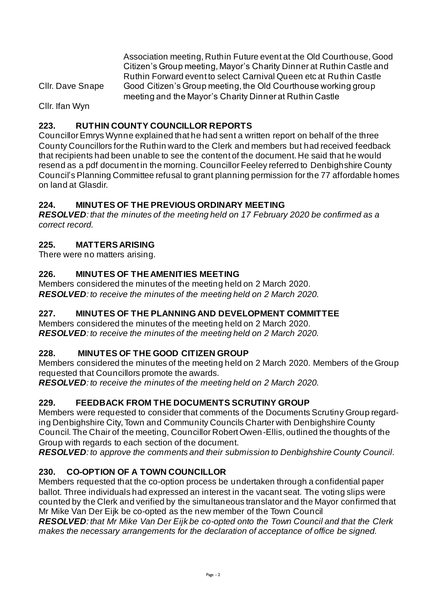Association meeting, Ruthin Future event at the Old Courthouse, Good Citizen's Group meeting, Mayor's Charity Dinner at Ruthin Castle and Ruthin Forward event to select Carnival Queen etc at Ruthin Castle Cllr. Dave Snape Good Citizen's Group meeting, the Old Courthouse working group meeting and the Mayor's Charity Dinner at Ruthin Castle

Cllr. Ifan Wyn

# **223. RUTHIN COUNTY COUNCILLOR REPORTS**

Councillor Emrys Wynne explained that he had sent a written report on behalf of the three County Councillors for the Ruthin ward to the Clerk and members but had received feedback that recipients had been unable to see the content of the document. He said that he would resend as a pdf document in the morning. Councillor Feeley referred to Denbighshire County Council's Planning Committee refusal to grant planning permission for the 77 affordable homes on land at Glasdir.

# **224. MINUTES OF THE PREVIOUS ORDINARY MEETING**

*RESOLVED: that the minutes of the meeting held on 17 February 2020 be confirmed as a correct record.* 

### **225. MATTERS ARISING**

There were no matters arising.

# **226. MINUTES OF THE AMENITIES MEETING**

Members considered the minutes of the meeting held on 2 March 2020. *RESOLVED: to receive the minutes of the meeting held on 2 March 2020.*

# **227. MINUTES OF THE PLANNING AND DEVELOPMENT COMMITTEE**

Members considered the minutes of the meeting held on 2 March 2020. *RESOLVED: to receive the minutes of the meeting held on 2 March 2020.* 

# **228. MINUTES OF THE GOOD CITIZEN GROUP**

Members considered the minutes of the meeting held on 2 March 2020. Members of the Group requested that Councillors promote the awards.

*RESOLVED: to receive the minutes of the meeting held on 2 March 2020.* 

# **229. FEEDBACK FROM THE DOCUMENTS SCRUTINY GROUP**

Members were requested to consider that comments of the Documents Scrutiny Group regarding Denbighshire City, Town and Community Councils Charter with Denbighshire County Council. The Chair of the meeting, Councillor Robert Owen-Ellis, outlined the thoughts of the Group with regards to each section of the document.

*RESOLVED: to approve the comments and their submission to Denbighshire County Council.* 

# **230. CO-OPTION OF A TOWN COUNCILLOR**

Members requested that the co-option process be undertaken through a confidential paper ballot. Three individuals had expressed an interest in the vacant seat. The voting slips were counted by the Clerk and verified by the simultaneous translator and the Mayor confirmed that Mr Mike Van Der Eijk be co-opted as the new member of the Town Council

*RESOLVED: that Mr Mike Van Der Eijk be co-opted onto the Town Council and that the Clerk makes the necessary arrangements for the declaration of acceptance of office be signed.*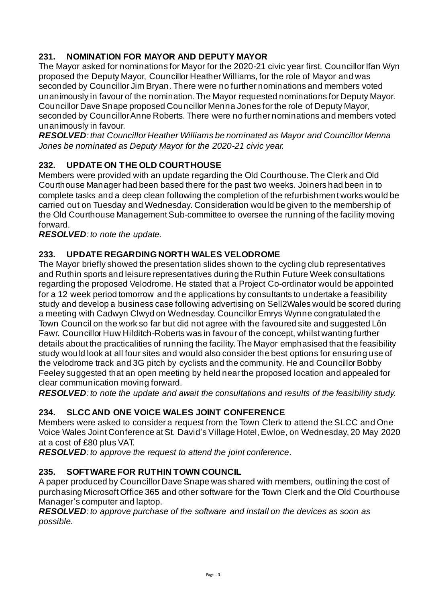# **231. NOMINATION FOR MAYOR AND DEPUTY MAYOR**

The Mayor asked for nominations for Mayor for the 2020-21 civic year first. Councillor Ifan Wyn proposed the Deputy Mayor, Councillor Heather Williams, for the role of Mayor and was seconded by Councillor Jim Bryan. There were no further nominations and members voted unanimously in favour of the nomination. The Mayor requested nominations for Deputy Mayor. Councillor Dave Snape proposed Councillor Menna Jones for the role of Deputy Mayor, seconded by Councillor Anne Roberts. There were no further nominations and members voted unanimously in favour.

*RESOLVED: that Councillor Heather Williams be nominated as Mayor and Councillor Menna Jones be nominated as Deputy Mayor for the 2020-21 civic year.* 

# **232. UPDATE ON THE OLD COURTHOUSE**

Members were provided with an update regarding the Old Courthouse. The Clerk and Old Courthouse Manager had been based there for the past two weeks. Joiners had been in to complete tasks and a deep clean following the completion of the refurbishment works would be carried out on Tuesday and Wednesday. Consideration would be given to the membership of the Old Courthouse Management Sub-committee to oversee the running of the facility moving forward.

*RESOLVED: to note the update.* 

### **233. UPDATE REGARDING NORTH WALES VELODROME**

The Mayor briefly showed the presentation slides shown to the cycling club representatives and Ruthin sports and leisure representatives during the Ruthin Future Week consultations regarding the proposed Velodrome. He stated that a Project Co-ordinator would be appointed for a 12 week period tomorrow and the applications by consultants to undertake a feasibility study and develop a business case following advertising on Sell2Wales would be scored during a meeting with Cadwyn Clwyd on Wednesday. Councillor Emrys Wynne congratulated the Town Council on the work so far but did not agree with the favoured site and suggested Lôn Fawr. Councillor Huw Hilditch-Roberts was in favour of the concept, whilst wanting further details about the practicalities of running the facility. The Mayor emphasised that the feasibility study would look at all four sites and would also consider the best options for ensuring use of the velodrome track and 3G pitch by cyclists and the community. He and Councillor Bobby Feeley suggested that an open meeting by held near the proposed location and appealed for clear communication moving forward.

*RESOLVED: to note the update and await the consultations and results of the feasibility study.* 

# **234. SLCC AND ONE VOICE WALES JOINT CONFERENCE**

Members were asked to consider a request from the Town Clerk to attend the SLCC and One Voice Wales Joint Conference at St. David's Village Hotel, Ewloe, on Wednesday, 20 May 2020 at a cost of £80 plus VAT.

*RESOLVED: to approve the request to attend the joint conference.*

# **235. SOFTWARE FOR RUTHIN TOWN COUNCIL**

A paper produced by Councillor Dave Snape was shared with members, outlining the cost of purchasing Microsoft Office 365 and other software for the Town Clerk and the Old Courthouse Manager's computer and laptop.

*RESOLVED: to approve purchase of the software and install on the devices as soon as possible.*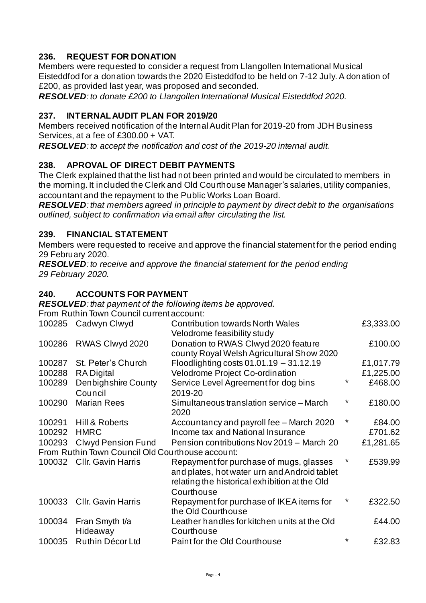# **236. REQUEST FOR DONATION**

Members were requested to consider a request from Llangollen International Musical Eisteddfod for a donation towards the 2020 Eisteddfod to be held on 7-12 July. A donation of £200, as provided last year, was proposed and seconded.

*RESOLVED: to donate £200 to Llangollen International Musical Eisteddfod 2020.* 

#### **237. INTERNAL AUDIT PLAN FOR 2019/20**

Members received notification of the Internal Audit Plan for 2019-20 from JDH Business Services, at a fee of £300.00 + VAT.

*RESOLVED: to accept the notification and cost of the 2019-20 internal audit.* 

### **238. APROVAL OF DIRECT DEBIT PAYMENTS**

The Clerk explained that the list had not been printed and would be circulated to members in the morning. It included the Clerk and Old Courthouse Manager's salaries, utility companies, accountant and the repayment to the Public Works Loan Board.

*RESOLVED: that members agreed in principle to payment by direct debit to the organisations outlined, subject to confirmation via email after circulating the list.* 

#### **239. FINANCIAL STATEMENT**

Members were requested to receive and approve the financial statement for the period ending 29 February 2020.

*RESOLVED: to receive and approve the financial statement for the period ending 29 February 2020.* 

#### **240. ACCOUNTS FOR PAYMENT**

*RESOLVED: that payment of the following items be approved.*

From Ruthin Town Council current account:

| 100285                                           | Cadwyn Clwyd                   | <b>Contribution towards North Wales</b><br>Velodrome feasibility study                                                                                 |          | £3,333.00 |  |
|--------------------------------------------------|--------------------------------|--------------------------------------------------------------------------------------------------------------------------------------------------------|----------|-----------|--|
| 100286                                           | RWAS Clwyd 2020                | Donation to RWAS Clwyd 2020 feature<br>county Royal Welsh Agricultural Show 2020                                                                       |          | £100.00   |  |
| 100287                                           | St. Peter's Church             | Floodlighting costs $01.01.19 - 31.12.19$                                                                                                              |          | £1,017.79 |  |
| 100288                                           | <b>RA</b> Digital              | Velodrome Project Co-ordination                                                                                                                        |          | £1,225.00 |  |
| 100289                                           | Denbighshire County<br>Council | Service Level Agreement for dog bins<br>2019-20                                                                                                        | $^\star$ | £468.00   |  |
| 100290                                           | <b>Marian Rees</b>             | Simultaneous translation service - March<br>2020                                                                                                       | *        | £180.00   |  |
| 100291                                           | Hill & Roberts                 | Accountancy and payroll fee - March 2020                                                                                                               | $^\star$ | £84.00    |  |
| 100292                                           | <b>HMRC</b>                    | Income tax and National Insurance                                                                                                                      |          | £701.62   |  |
| 100293                                           | <b>Clwyd Pension Fund</b>      | Pension contributions Nov 2019 - March 20                                                                                                              |          | £1,281.65 |  |
| From Ruthin Town Council Old Courthouse account: |                                |                                                                                                                                                        |          |           |  |
| 100032                                           | <b>CIIr. Gavin Harris</b>      | Repayment for purchase of mugs, glasses<br>and plates, hot water urn and Android tablet<br>relating the historical exhibition at the Old<br>Courthouse | *        | £539.99   |  |
| 100033                                           | <b>CIIr. Gavin Harris</b>      | Repayment for purchase of IKEA items for<br>the Old Courthouse                                                                                         |          | £322.50   |  |
| 100034                                           | Fran Smyth t/a<br>Hideaway     | Leather handles for kitchen units at the Old<br>Courthouse                                                                                             |          | £44.00    |  |
| 100035                                           | Ruthin Décor Ltd               | Paint for the Old Courthouse                                                                                                                           | $^\star$ | £32.83    |  |